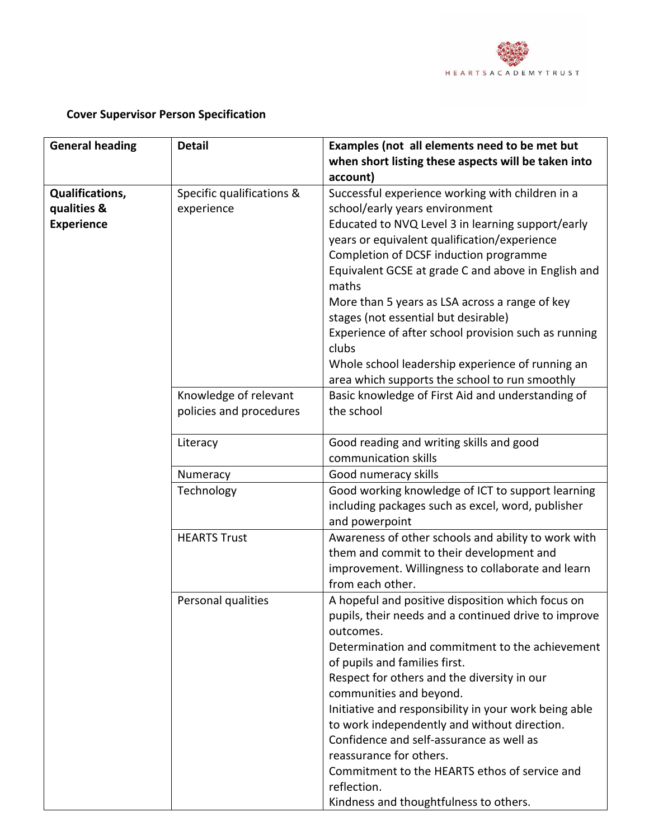

## **Cover Supervisor Person Specification**

| <b>General heading</b> | <b>Detail</b>             | Examples (not all elements need to be met but                                      |
|------------------------|---------------------------|------------------------------------------------------------------------------------|
|                        |                           | when short listing these aspects will be taken into<br>account)                    |
|                        |                           |                                                                                    |
| <b>Qualifications,</b> | Specific qualifications & | Successful experience working with children in a<br>school/early years environment |
| qualities &            | experience                |                                                                                    |
| <b>Experience</b>      |                           | Educated to NVQ Level 3 in learning support/early                                  |
|                        |                           | years or equivalent qualification/experience                                       |
|                        |                           | Completion of DCSF induction programme                                             |
|                        |                           | Equivalent GCSE at grade C and above in English and                                |
|                        |                           | maths                                                                              |
|                        |                           | More than 5 years as LSA across a range of key                                     |
|                        |                           | stages (not essential but desirable)                                               |
|                        |                           | Experience of after school provision such as running                               |
|                        |                           | clubs                                                                              |
|                        |                           | Whole school leadership experience of running an                                   |
|                        |                           | area which supports the school to run smoothly                                     |
|                        | Knowledge of relevant     | Basic knowledge of First Aid and understanding of                                  |
|                        | policies and procedures   | the school                                                                         |
|                        | Literacy                  | Good reading and writing skills and good                                           |
|                        |                           | communication skills                                                               |
|                        | Numeracy                  | Good numeracy skills                                                               |
|                        | Technology                | Good working knowledge of ICT to support learning                                  |
|                        |                           | including packages such as excel, word, publisher                                  |
|                        |                           | and powerpoint                                                                     |
|                        | <b>HEARTS Trust</b>       | Awareness of other schools and ability to work with                                |
|                        |                           | them and commit to their development and                                           |
|                        |                           | improvement. Willingness to collaborate and learn                                  |
|                        |                           | from each other.                                                                   |
|                        | Personal qualities        | A hopeful and positive disposition which focus on                                  |
|                        |                           | pupils, their needs and a continued drive to improve                               |
|                        |                           | outcomes.                                                                          |
|                        |                           | Determination and commitment to the achievement                                    |
|                        |                           | of pupils and families first.                                                      |
|                        |                           | Respect for others and the diversity in our                                        |
|                        |                           | communities and beyond.                                                            |
|                        |                           | Initiative and responsibility in your work being able                              |
|                        |                           | to work independently and without direction.                                       |
|                        |                           | Confidence and self-assurance as well as                                           |
|                        |                           | reassurance for others.                                                            |
|                        |                           | Commitment to the HEARTS ethos of service and                                      |
|                        |                           | reflection.                                                                        |
|                        |                           | Kindness and thoughtfulness to others.                                             |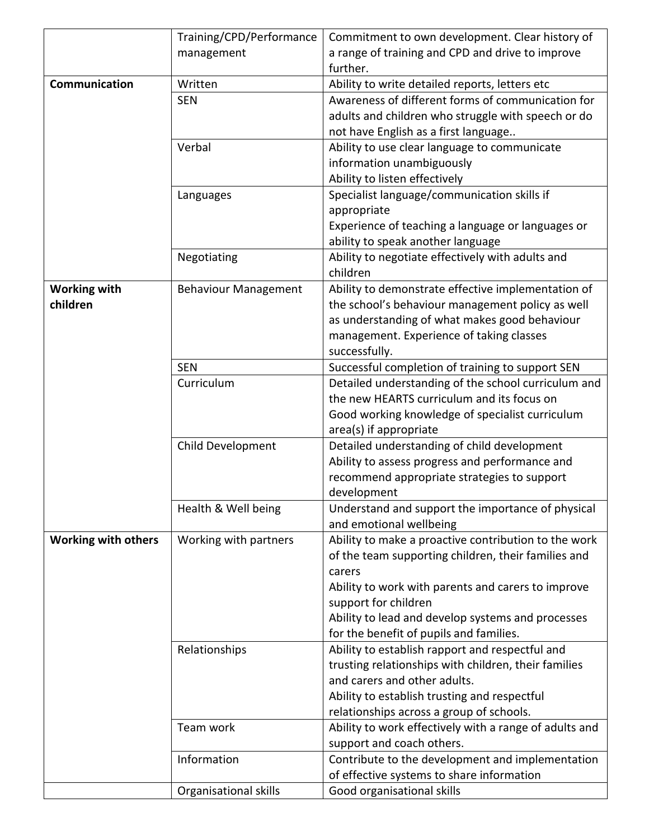|                            | Training/CPD/Performance    | Commitment to own development. Clear history of        |
|----------------------------|-----------------------------|--------------------------------------------------------|
|                            | management                  | a range of training and CPD and drive to improve       |
|                            |                             | further.                                               |
| Communication              | Written                     | Ability to write detailed reports, letters etc         |
|                            | <b>SEN</b>                  | Awareness of different forms of communication for      |
|                            |                             | adults and children who struggle with speech or do     |
|                            |                             | not have English as a first language                   |
|                            | Verbal                      | Ability to use clear language to communicate           |
|                            |                             | information unambiguously                              |
|                            |                             | Ability to listen effectively                          |
|                            | Languages                   | Specialist language/communication skills if            |
|                            |                             | appropriate                                            |
|                            |                             | Experience of teaching a language or languages or      |
|                            |                             | ability to speak another language                      |
|                            | Negotiating                 | Ability to negotiate effectively with adults and       |
|                            |                             | children                                               |
| <b>Working with</b>        | <b>Behaviour Management</b> | Ability to demonstrate effective implementation of     |
| children                   |                             | the school's behaviour management policy as well       |
|                            |                             | as understanding of what makes good behaviour          |
|                            |                             | management. Experience of taking classes               |
|                            |                             | successfully.                                          |
|                            | <b>SEN</b>                  | Successful completion of training to support SEN       |
|                            | Curriculum                  | Detailed understanding of the school curriculum and    |
|                            |                             | the new HEARTS curriculum and its focus on             |
|                            |                             | Good working knowledge of specialist curriculum        |
|                            |                             | area(s) if appropriate                                 |
|                            | Child Development           | Detailed understanding of child development            |
|                            |                             | Ability to assess progress and performance and         |
|                            |                             | recommend appropriate strategies to support            |
|                            |                             | development                                            |
|                            | Health & Well being         | Understand and support the importance of physical      |
|                            |                             | and emotional wellbeing                                |
| <b>Working with others</b> | Working with partners       | Ability to make a proactive contribution to the work   |
|                            |                             | of the team supporting children, their families and    |
|                            |                             | carers                                                 |
|                            |                             | Ability to work with parents and carers to improve     |
|                            |                             | support for children                                   |
|                            |                             | Ability to lead and develop systems and processes      |
|                            |                             | for the benefit of pupils and families.                |
|                            | Relationships               | Ability to establish rapport and respectful and        |
|                            |                             | trusting relationships with children, their families   |
|                            |                             | and carers and other adults.                           |
|                            |                             | Ability to establish trusting and respectful           |
|                            |                             | relationships across a group of schools.               |
|                            | Team work                   | Ability to work effectively with a range of adults and |
|                            |                             | support and coach others.                              |
|                            | Information                 | Contribute to the development and implementation       |
|                            |                             | of effective systems to share information              |
|                            | Organisational skills       | Good organisational skills                             |